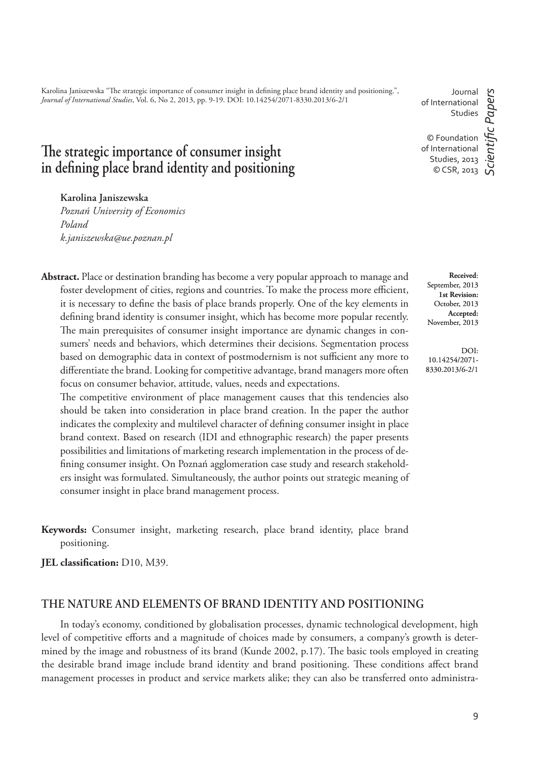Karolina Janiszewska "The strategic importance of consumer insight in defining place brand identity and positioning.", *Journal of International Studies*, Vol. 6, No 2, 2013, pp. 9-19. DOI: 10.14254/2071-8330.2013/6-2/1

Journal of International Studies

c Papers *ScientiÞ c Papers* © Foundation of International Studies, 2013 © CSR, 2013

# The strategic importance of consumer insight in defining place brand identity and positioning

## **Karolina Janiszewska**

*Poznań University of Economics Poland k.janiszewska@ue.poznan.pl*

**Abstract.** Place or destination branding has become a very popular approach to manage and foster development of cities, regions and countries. To make the process more efficient, it is necessary to define the basis of place brands properly. One of the key elements in defining brand identity is consumer insight, which has become more popular recently. The main prerequisites of consumer insight importance are dynamic changes in consumers' needs and behaviors, which determines their decisions. Segmentation process based on demographic data in context of postmodernism is not sufficient any more to differentiate the brand. Looking for competitive advantage, brand managers more often focus on consumer behavior, attitude, values, needs and expectations.

The competitive environment of place management causes that this tendencies also should be taken into consideration in place brand creation. In the paper the author indicates the complexity and multilevel character of defining consumer insight in place brand context. Based on research (IDI and ethnographic research) the paper presents possibilities and limitations of marketing research implementation in the process of defining consumer insight. On Poznań agglomeration case study and research stakeholders insight was formulated. Simultaneously, the author points out strategic meaning of consumer insight in place brand management process.

**Keywords:** Consumer insight, marketing research, place brand identity, place brand positioning.

**JEL classification:** D10, M39.

# **THE NATURE AND ELEMENTS OF BRAND IDENTITY AND POSITIONING**

In today's economy, conditioned by globalisation processes, dynamic technological development, high level of competitive efforts and a magnitude of choices made by consumers, a company's growth is determined by the image and robustness of its brand (Kunde 2002,  $p.17$ ). The basic tools employed in creating the desirable brand image include brand identity and brand positioning. These conditions affect brand management processes in product and service markets alike; they can also be transferred onto administra-

**Received**: September, 2013 **1st Revision:**  October, 2013 **Accepted:**  November, 2013

DOI: 10.14254/2071- 8330.2013/6-2/1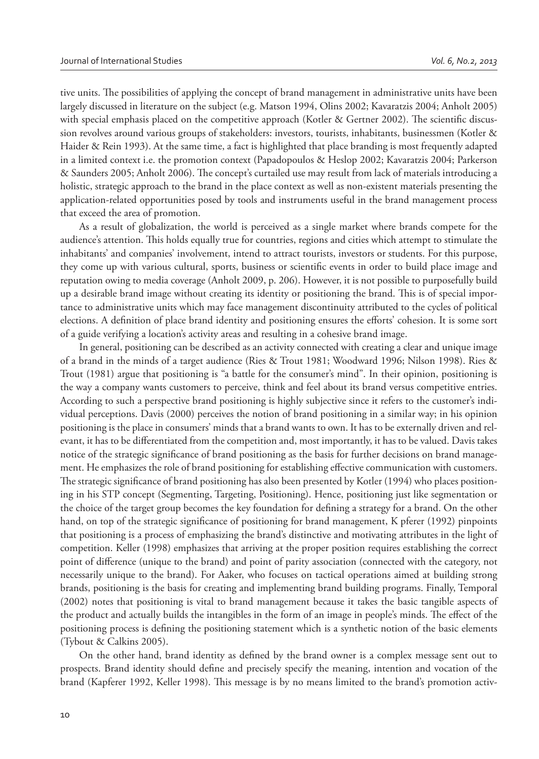tive units. The possibilities of applying the concept of brand management in administrative units have been largely discussed in literature on the subject (e.g. Matson 1994, Olins 2002; Kavaratzis 2004; Anholt 2005) with special emphasis placed on the competitive approach (Kotler & Gertner 2002). The scientific discussion revolves around various groups of stakeholders: investors, tourists, inhabitants, businessmen (Kotler & Haider & Rein 1993). At the same time, a fact is highlighted that place branding is most frequently adapted in a limited context i.e. the promotion context (Papadopoulos & Heslop 2002; Kavaratzis 2004; Parkerson & Saunders 2005; Anholt 2006). The concept's curtailed use may result from lack of materials introducing a holistic, strategic approach to the brand in the place context as well as non-existent materials presenting the application-related opportunities posed by tools and instruments useful in the brand management process that exceed the area of promotion.

As a result of globalization, the world is perceived as a single market where brands compete for the audience's attention. This holds equally true for countries, regions and cities which attempt to stimulate the inhabitants' and companies' involvement, intend to attract tourists, investors or students. For this purpose, they come up with various cultural, sports, business or scientific events in order to build place image and reputation owing to media coverage (Anholt 2009, p. 206). However, it is not possible to purposefully build up a desirable brand image without creating its identity or positioning the brand. This is of special importance to administrative units which may face management discontinuity attributed to the cycles of political elections. A definition of place brand identity and positioning ensures the efforts' cohesion. It is some sort of a guide verifying a location's activity areas and resulting in a cohesive brand image.

In general, positioning can be described as an activity connected with creating a clear and unique image of a brand in the minds of a target audience (Ries & Trout 1981; Woodward 1996; Nilson 1998). Ries & Trout (1981) argue that positioning is "a battle for the consumer's mind". In their opinion, positioning is the way a company wants customers to perceive, think and feel about its brand versus competitive entries. According to such a perspective brand positioning is highly subjective since it refers to the customer's individual perceptions. Davis (2000) perceives the notion of brand positioning in a similar way; in his opinion positioning is the place in consumers' minds that a brand wants to own. It has to be externally driven and relevant, it has to be differentiated from the competition and, most importantly, it has to be valued. Davis takes notice of the strategic significance of brand positioning as the basis for further decisions on brand management. He emphasizes the role of brand positioning for establishing effective communication with customers. The strategic significance of brand positioning has also been presented by Kotler (1994) who places positioning in his STP concept (Segmenting, Targeting, Positioning). Hence, positioning just like segmentation or the choice of the target group becomes the key foundation for defining a strategy for a brand. On the other hand, on top of the strategic significance of positioning for brand management, K pferer (1992) pinpoints that positioning is a process of emphasizing the brand's distinctive and motivating attributes in the light of competition. Keller (1998) emphasizes that arriving at the proper position requires establishing the correct point of difference (unique to the brand) and point of parity association (connected with the category, not necessarily unique to the brand). For Aaker, who focuses on tactical operations aimed at building strong brands, positioning is the basis for creating and implementing brand building programs. Finally, Temporal (2002) notes that positioning is vital to brand management because it takes the basic tangible aspects of the product and actually builds the intangibles in the form of an image in people's minds. The effect of the positioning process is defining the positioning statement which is a synthetic notion of the basic elements (Tybout & Calkins 2005).

On the other hand, brand identity as defined by the brand owner is a complex message sent out to prospects. Brand identity should define and precisely specify the meaning, intention and vocation of the brand (Kapferer 1992, Keller 1998). This message is by no means limited to the brand's promotion activ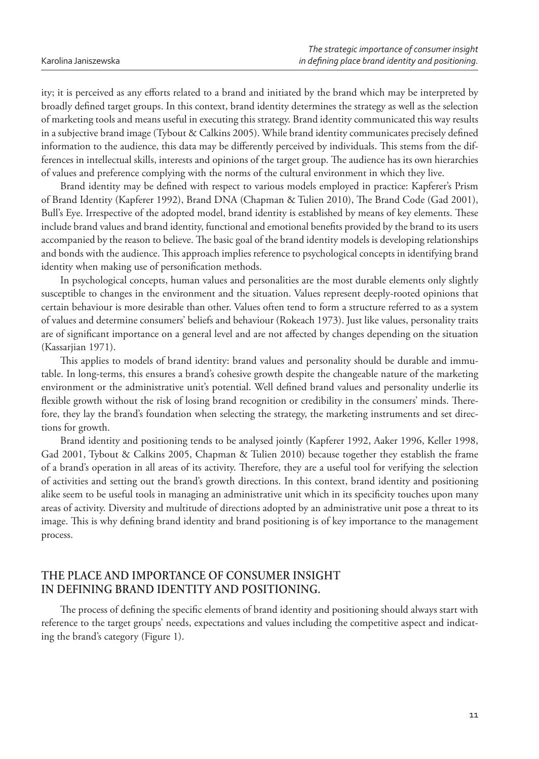ity; it is perceived as any efforts related to a brand and initiated by the brand which may be interpreted by broadly defined target groups. In this context, brand identity determines the strategy as well as the selection of marketing tools and means useful in executing this strategy. Brand identity communicated this way results in a subjective brand image (Tybout & Calkins 2005). While brand identity communicates precisely defined information to the audience, this data may be differently perceived by individuals. This stems from the differences in intellectual skills, interests and opinions of the target group. The audience has its own hierarchies of values and preference complying with the norms of the cultural environment in which they live.

Brand identity may be defined with respect to various models employed in practice: Kapferer's Prism of Brand Identity (Kapferer 1992), Brand DNA (Chapman & Tulien 2010), The Brand Code (Gad 2001), Bull's Eye. Irrespective of the adopted model, brand identity is established by means of key elements. These include brand values and brand identity, functional and emotional benefits provided by the brand to its users accompanied by the reason to believe. The basic goal of the brand identity models is developing relationships and bonds with the audience. This approach implies reference to psychological concepts in identifying brand identity when making use of personification methods.

In psychological concepts, human values and personalities are the most durable elements only slightly susceptible to changes in the environment and the situation. Values represent deeply-rooted opinions that certain behaviour is more desirable than other. Values often tend to form a structure referred to as a system of values and determine consumers' beliefs and behaviour (Rokeach 1973). Just like values, personality traits are of significant importance on a general level and are not affected by changes depending on the situation (Kassarjian 1971).

This applies to models of brand identity: brand values and personality should be durable and immutable. In long-terms, this ensures a brand's cohesive growth despite the changeable nature of the marketing environment or the administrative unit's potential. Well defined brand values and personality underlie its flexible growth without the risk of losing brand recognition or credibility in the consumers' minds. Therefore, they lay the brand's foundation when selecting the strategy, the marketing instruments and set directions for growth.

Brand identity and positioning tends to be analysed jointly (Kapferer 1992, Aaker 1996, Keller 1998, Gad 2001, Tybout & Calkins 2005, Chapman & Tulien 2010) because together they establish the frame of a brand's operation in all areas of its activity. Therefore, they are a useful tool for verifying the selection of activities and setting out the brand's growth directions. In this context, brand identity and positioning alike seem to be useful tools in managing an administrative unit which in its specificity touches upon many areas of activity. Diversity and multitude of directions adopted by an administrative unit pose a threat to its image. This is why defining brand identity and brand positioning is of key importance to the management process.

## **THE PLACE AND IMPORTANCE OF CONSUMER INSIGHT IN DEFINING BRAND IDENTITY AND POSITIONING.**

The process of defining the specific elements of brand identity and positioning should always start with reference to the target groups' needs, expectations and values including the competitive aspect and indicating the brand's category (Figure 1).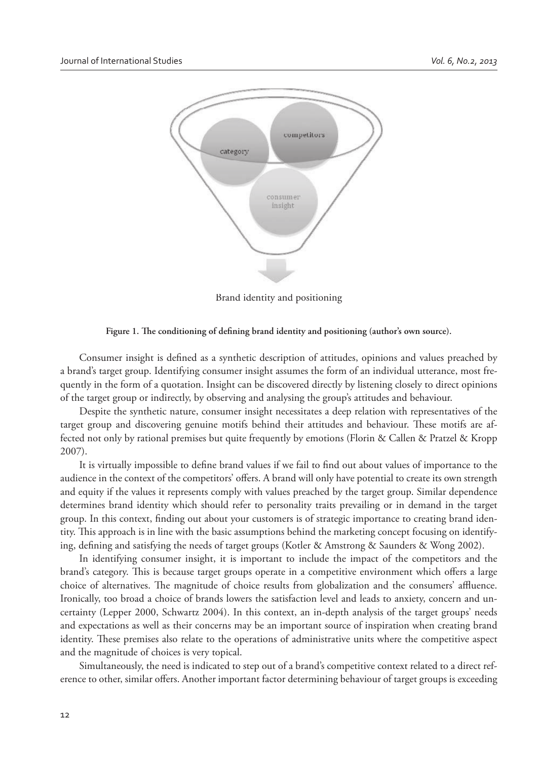

Brand identity and positioning



Consumer insight is defined as a synthetic description of attitudes, opinions and values preached by a brand's target group. Identifying consumer insight assumes the form of an individual utterance, most frequently in the form of a quotation. Insight can be discovered directly by listening closely to direct opinions of the target group or indirectly, by observing and analysing the group's attitudes and behaviour.

Despite the synthetic nature, consumer insight necessitates a deep relation with representatives of the target group and discovering genuine motifs behind their attitudes and behaviour. These motifs are affected not only by rational premises but quite frequently by emotions (Florin & Callen & Pratzel & Kropp 2007).

It is virtually impossible to define brand values if we fail to find out about values of importance to the audience in the context of the competitors' offers. A brand will only have potential to create its own strength and equity if the values it represents comply with values preached by the target group. Similar dependence determines brand identity which should refer to personality traits prevailing or in demand in the target group. In this context, finding out about your customers is of strategic importance to creating brand identity. This approach is in line with the basic assumptions behind the marketing concept focusing on identifying, defining and satisfying the needs of target groups (Kotler & Amstrong & Saunders & Wong 2002).

In identifying consumer insight, it is important to include the impact of the competitors and the brand's category. This is because target groups operate in a competitive environment which offers a large choice of alternatives. The magnitude of choice results from globalization and the consumers' affluence. Ironically, too broad a choice of brands lowers the satisfaction level and leads to anxiety, concern and uncertainty (Lepper 2000, Schwartz 2004). In this context, an in-depth analysis of the target groups' needs and expectations as well as their concerns may be an important source of inspiration when creating brand identity. These premises also relate to the operations of administrative units where the competitive aspect and the magnitude of choices is very topical.

Simultaneously, the need is indicated to step out of a brand's competitive context related to a direct reference to other, similar offers. Another important factor determining behaviour of target groups is exceeding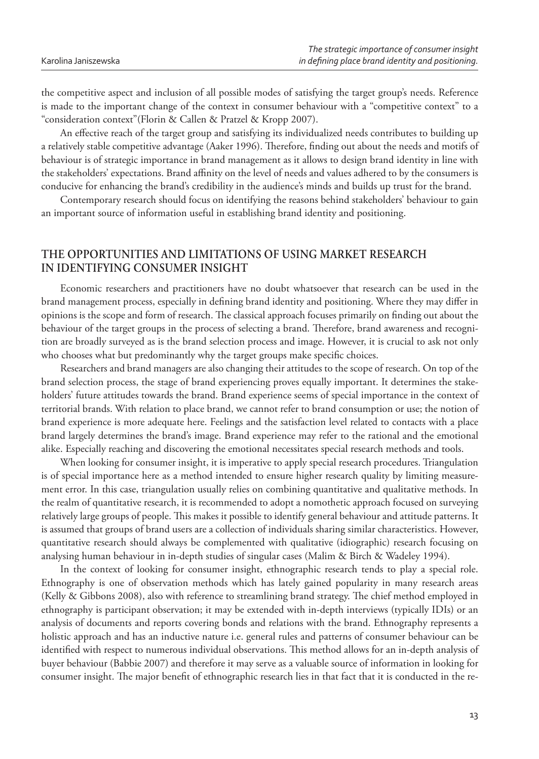the competitive aspect and inclusion of all possible modes of satisfying the target group's needs. Reference is made to the important change of the context in consumer behaviour with a "competitive context" to a "consideration context"(Florin & Callen & Pratzel & Kropp 2007).

An effective reach of the target group and satisfying its individualized needs contributes to building up a relatively stable competitive advantage (Aaker 1996). Therefore, finding out about the needs and motifs of behaviour is of strategic importance in brand management as it allows to design brand identity in line with the stakeholders' expectations. Brand affinity on the level of needs and values adhered to by the consumers is conducive for enhancing the brand's credibility in the audience's minds and builds up trust for the brand.

Contemporary research should focus on identifying the reasons behind stakeholders' behaviour to gain an important source of information useful in establishing brand identity and positioning.

## **THE OPPORTUNITIES AND LIMITATIONS OF USING MARKET RESEARCH IN IDENTIFYING CONSUMER INSIGHT**

Economic researchers and practitioners have no doubt whatsoever that research can be used in the brand management process, especially in defining brand identity and positioning. Where they may differ in opinions is the scope and form of research. The classical approach focuses primarily on finding out about the behaviour of the target groups in the process of selecting a brand. Therefore, brand awareness and recognition are broadly surveyed as is the brand selection process and image. However, it is crucial to ask not only who chooses what but predominantly why the target groups make specific choices.

Researchers and brand managers are also changing their attitudes to the scope of research. On top of the brand selection process, the stage of brand experiencing proves equally important. It determines the stakeholders' future attitudes towards the brand. Brand experience seems of special importance in the context of territorial brands. With relation to place brand, we cannot refer to brand consumption or use; the notion of brand experience is more adequate here. Feelings and the satisfaction level related to contacts with a place brand largely determines the brand's image. Brand experience may refer to the rational and the emotional alike. Especially reaching and discovering the emotional necessitates special research methods and tools.

When looking for consumer insight, it is imperative to apply special research procedures. Triangulation is of special importance here as a method intended to ensure higher research quality by limiting measurement error. In this case, triangulation usually relies on combining quantitative and qualitative methods. In the realm of quantitative research, it is recommended to adopt a nomothetic approach focused on surveying relatively large groups of people. This makes it possible to identify general behaviour and attitude patterns. It is assumed that groups of brand users are a collection of individuals sharing similar characteristics. However, quantitative research should always be complemented with qualitative (idiographic) research focusing on analysing human behaviour in in-depth studies of singular cases (Malim & Birch & Wadeley 1994).

In the context of looking for consumer insight, ethnographic research tends to play a special role. Ethnography is one of observation methods which has lately gained popularity in many research areas (Kelly & Gibbons 2008), also with reference to streamlining brand strategy. The chief method employed in ethnography is participant observation; it may be extended with in-depth interviews (typically IDIs) or an analysis of documents and reports covering bonds and relations with the brand. Ethnography represents a holistic approach and has an inductive nature i.e. general rules and patterns of consumer behaviour can be identified with respect to numerous individual observations. This method allows for an in-depth analysis of buyer behaviour (Babbie 2007) and therefore it may serve as a valuable source of information in looking for consumer insight. The major benefit of ethnographic research lies in that fact that it is conducted in the re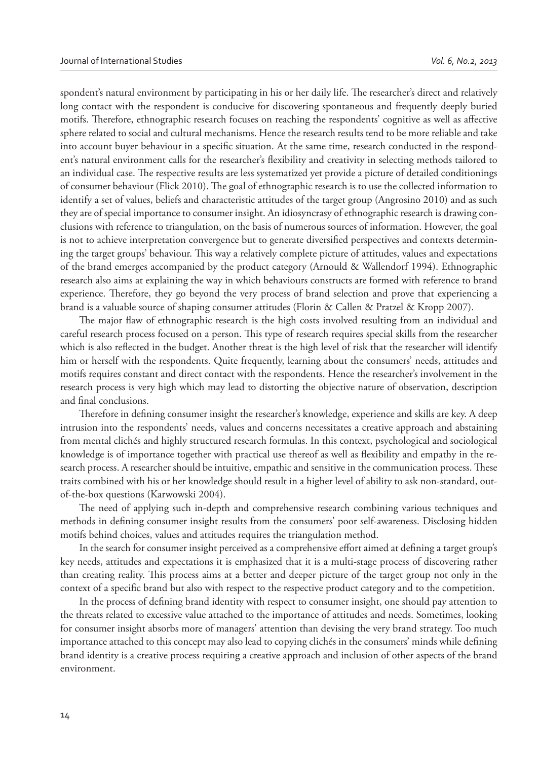spondent's natural environment by participating in his or her daily life. The researcher's direct and relatively long contact with the respondent is conducive for discovering spontaneous and frequently deeply buried motifs. Therefore, ethnographic research focuses on reaching the respondents' cognitive as well as affective sphere related to social and cultural mechanisms. Hence the research results tend to be more reliable and take into account buyer behaviour in a specific situation. At the same time, research conducted in the respondent's natural environment calls for the researcher's flexibility and creativity in selecting methods tailored to an individual case. The respective results are less systematized yet provide a picture of detailed conditionings of consumer behaviour (Flick 2010). The goal of ethnographic research is to use the collected information to identify a set of values, beliefs and characteristic attitudes of the target group (Angrosino 2010) and as such they are of special importance to consumer insight. An idiosyncrasy of ethnographic research is drawing conclusions with reference to triangulation, on the basis of numerous sources of information. However, the goal is not to achieve interpretation convergence but to generate diversified perspectives and contexts determining the target groups' behaviour. This way a relatively complete picture of attitudes, values and expectations of the brand emerges accompanied by the product category (Arnould & Wallendorf 1994). Ethnographic research also aims at explaining the way in which behaviours constructs are formed with reference to brand experience. Therefore, they go beyond the very process of brand selection and prove that experiencing a brand is a valuable source of shaping consumer attitudes (Florin & Callen & Pratzel & Kropp 2007).

The major flaw of ethnographic research is the high costs involved resulting from an individual and careful research process focused on a person. This type of research requires special skills from the researcher which is also reflected in the budget. Another threat is the high level of risk that the researcher will identify him or herself with the respondents. Quite frequently, learning about the consumers' needs, attitudes and motifs requires constant and direct contact with the respondents. Hence the researcher's involvement in the research process is very high which may lead to distorting the objective nature of observation, description and final conclusions.

Therefore in defining consumer insight the researcher's knowledge, experience and skills are key. A deep intrusion into the respondents' needs, values and concerns necessitates a creative approach and abstaining from mental clichés and highly structured research formulas. In this context, psychological and sociological knowledge is of importance together with practical use thereof as well as flexibility and empathy in the research process. A researcher should be intuitive, empathic and sensitive in the communication process. These traits combined with his or her knowledge should result in a higher level of ability to ask non-standard, outof-the-box questions (Karwowski 2004).

The need of applying such in-depth and comprehensive research combining various techniques and methods in defining consumer insight results from the consumers' poor self-awareness. Disclosing hidden motifs behind choices, values and attitudes requires the triangulation method.

In the search for consumer insight perceived as a comprehensive effort aimed at defining a target group's key needs, attitudes and expectations it is emphasized that it is a multi-stage process of discovering rather than creating reality. This process aims at a better and deeper picture of the target group not only in the context of a specific brand but also with respect to the respective product category and to the competition.

In the process of defining brand identity with respect to consumer insight, one should pay attention to the threats related to excessive value attached to the importance of attitudes and needs. Sometimes, looking for consumer insight absorbs more of managers' attention than devising the very brand strategy. Too much importance attached to this concept may also lead to copying clichés in the consumers' minds while defining brand identity is a creative process requiring a creative approach and inclusion of other aspects of the brand environment.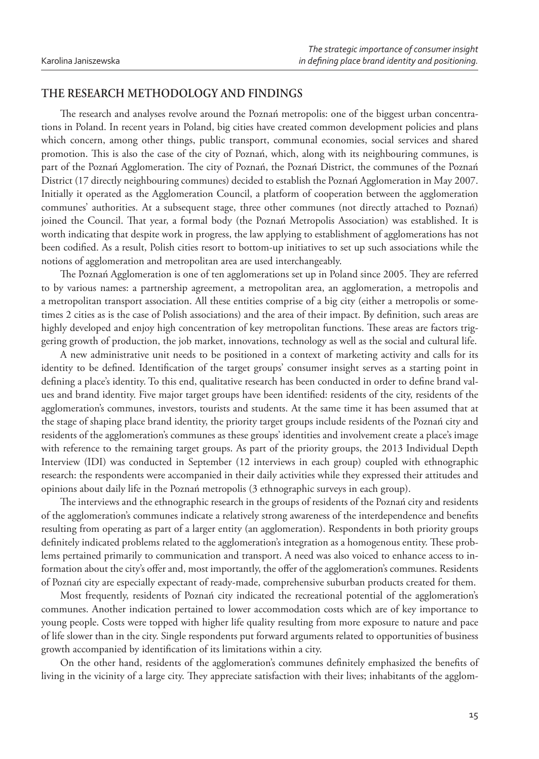## **THE RESEARCH METHODOLOGY AND FINDINGS**

The research and analyses revolve around the Poznań metropolis: one of the biggest urban concentrations in Poland. In recent years in Poland, big cities have created common development policies and plans which concern, among other things, public transport, communal economies, social services and shared promotion. This is also the case of the city of Poznań, which, along with its neighbouring communes, is part of the Poznań Agglomeration. The city of Poznań, the Poznań District, the communes of the Poznań District (17 directly neighbouring communes) decided to establish the Poznań Agglomeration in May 2007. Initially it operated as the Agglomeration Council, a platform of cooperation between the agglomeration communes' authorities. At a subsequent stage, three other communes (not directly attached to Poznań) joined the Council. That year, a formal body (the Poznań Metropolis Association) was established. It is worth indicating that despite work in progress, the law applying to establishment of agglomerations has not been codified. As a result, Polish cities resort to bottom-up initiatives to set up such associations while the notions of agglomeration and metropolitan area are used interchangeably.

The Poznań Agglomeration is one of ten agglomerations set up in Poland since 2005. They are referred to by various names: a partnership agreement, a metropolitan area, an agglomeration, a metropolis and a metropolitan transport association. All these entities comprise of a big city (either a metropolis or sometimes 2 cities as is the case of Polish associations) and the area of their impact. By definition, such areas are highly developed and enjoy high concentration of key metropolitan functions. These areas are factors triggering growth of production, the job market, innovations, technology as well as the social and cultural life.

A new administrative unit needs to be positioned in a context of marketing activity and calls for its identity to be defined. Identification of the target groups' consumer insight serves as a starting point in defining a place's identity. To this end, qualitative research has been conducted in order to define brand values and brand identity. Five major target groups have been identified: residents of the city, residents of the agglomeration's communes, investors, tourists and students. At the same time it has been assumed that at the stage of shaping place brand identity, the priority target groups include residents of the Poznań city and residents of the agglomeration's communes as these groups' identities and involvement create a place's image with reference to the remaining target groups. As part of the priority groups, the 2013 Individual Depth Interview (IDI) was conducted in September (12 interviews in each group) coupled with ethnographic research: the respondents were accompanied in their daily activities while they expressed their attitudes and opinions about daily life in the Poznań metropolis (3 ethnographic surveys in each group).

The interviews and the ethnographic research in the groups of residents of the Poznań city and residents of the agglomeration's communes indicate a relatively strong awareness of the interdependence and benefits resulting from operating as part of a larger entity (an agglomeration). Respondents in both priority groups definitely indicated problems related to the agglomeration's integration as a homogenous entity. These problems pertained primarily to communication and transport. A need was also voiced to enhance access to information about the city's offer and, most importantly, the offer of the agglomeration's communes. Residents of Poznań city are especially expectant of ready-made, comprehensive suburban products created for them.

Most frequently, residents of Poznań city indicated the recreational potential of the agglomeration's communes. Another indication pertained to lower accommodation costs which are of key importance to young people. Costs were topped with higher life quality resulting from more exposure to nature and pace of life slower than in the city. Single respondents put forward arguments related to opportunities of business growth accompanied by identification of its limitations within a city.

On the other hand, residents of the agglomeration's communes definitely emphasized the benefits of living in the vicinity of a large city. They appreciate satisfaction with their lives; inhabitants of the agglom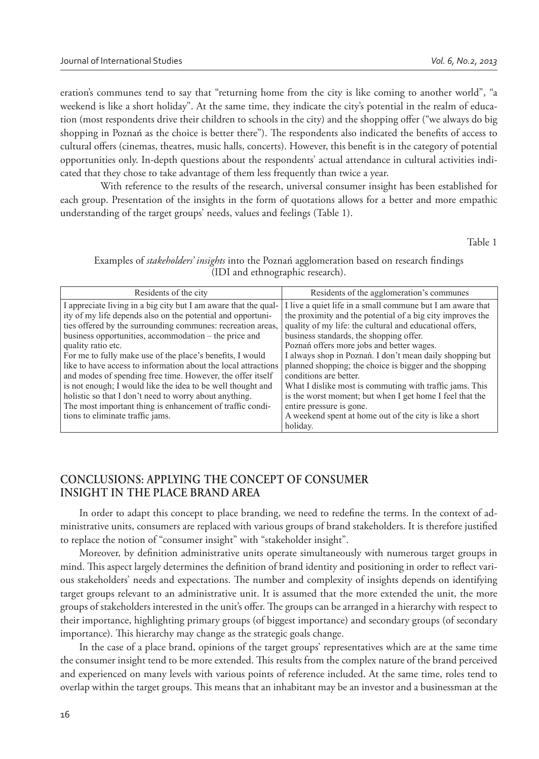eration's communes tend to say that "returning home from the city is like coming to another world", "a weekend is like a short holiday". At the same time, they indicate the city's potential in the realm of education (most respondents drive their children to schools in the city) and the shopping offer ("we always do big shopping in Poznań as the choice is better there"). The respondents also indicated the benefits of access to cultural offers (cinemas, theatres, music halls, concerts). However, this benefit is in the category of potential opportunities only. In-depth questions about the respondents' actual attendance in cultural activities indicated that they chose to take advantage of them less frequently than twice a year.

 With reference to the results of the research, universal consumer insight has been established for each group. Presentation of the insights in the form of quotations allows for a better and more empathic understanding of the target groups' needs, values and feelings (Table 1).

Table 1

| Residents of the city                                                                                                                                                                                                                                                                                                                                                                                                                                                                                                                                                                                                                                                                               | Residents of the agglomeration's communes                                                                                                                                                                                                                                                                                                                                                                                                                                                                                                                                                                                                    |
|-----------------------------------------------------------------------------------------------------------------------------------------------------------------------------------------------------------------------------------------------------------------------------------------------------------------------------------------------------------------------------------------------------------------------------------------------------------------------------------------------------------------------------------------------------------------------------------------------------------------------------------------------------------------------------------------------------|----------------------------------------------------------------------------------------------------------------------------------------------------------------------------------------------------------------------------------------------------------------------------------------------------------------------------------------------------------------------------------------------------------------------------------------------------------------------------------------------------------------------------------------------------------------------------------------------------------------------------------------------|
| I appreciate living in a big city but I am aware that the qual-<br>ity of my life depends also on the potential and opportuni-<br>ties offered by the surrounding communes: recreation areas,<br>business opportunities, accommodation – the price and<br>quality ratio etc.<br>For me to fully make use of the place's benefits, I would<br>like to have access to information about the local attractions<br>and modes of spending free time. However, the offer itself<br>is not enough; I would like the idea to be well thought and<br>holistic so that I don't need to worry about anything.<br>The most important thing is enhancement of traffic condi-<br>tions to eliminate traffic jams. | I live a quiet life in a small commune but I am aware that<br>the proximity and the potential of a big city improves the<br>quality of my life: the cultural and educational offers.<br>business standards, the shopping offer.<br>Poznań offers more jobs and better wages.<br>I always shop in Poznań. I don't mean daily shopping but<br>planned shopping; the choice is bigger and the shopping<br>conditions are better.<br>What I dislike most is commuting with traffic jams. This<br>is the worst moment; but when I get home I feel that the<br>entire pressure is gone.<br>A weekend spent at home out of the city is like a short |
|                                                                                                                                                                                                                                                                                                                                                                                                                                                                                                                                                                                                                                                                                                     | holiday.                                                                                                                                                                                                                                                                                                                                                                                                                                                                                                                                                                                                                                     |

Examples of *stakeholders' insights* into the Poznań agglomeration based on research findings (IDI and ethnographic research).

# **CONCLUSIONS: APPLYING THE CONCEPT OF CONSUMER INSIGHT IN THE PLACE BRAND AREA**

In order to adapt this concept to place branding, we need to redefine the terms. In the context of administrative units, consumers are replaced with various groups of brand stakeholders. It is therefore justified to replace the notion of "consumer insight" with "stakeholder insight".

Moreover, by definition administrative units operate simultaneously with numerous target groups in mind. This aspect largely determines the definition of brand identity and positioning in order to reflect various stakeholders' needs and expectations. The number and complexity of insights depends on identifying target groups relevant to an administrative unit. It is assumed that the more extended the unit, the more groups of stakeholders interested in the unit's offer. The groups can be arranged in a hierarchy with respect to their importance, highlighting primary groups (of biggest importance) and secondary groups (of secondary importance). This hierarchy may change as the strategic goals change.

In the case of a place brand, opinions of the target groups' representatives which are at the same time the consumer insight tend to be more extended. This results from the complex nature of the brand perceived and experienced on many levels with various points of reference included. At the same time, roles tend to overlap within the target groups. This means that an inhabitant may be an investor and a businessman at the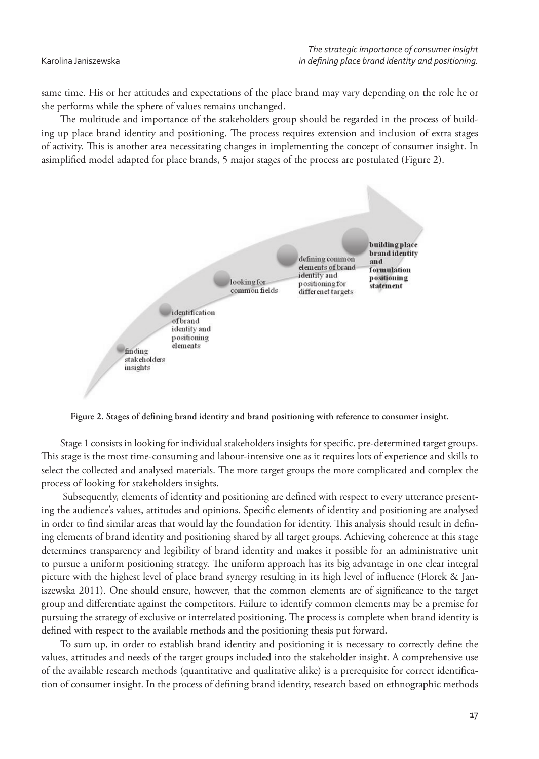same time. His or her attitudes and expectations of the place brand may vary depending on the role he or she performs while the sphere of values remains unchanged.

The multitude and importance of the stakeholders group should be regarded in the process of building up place brand identity and positioning. The process requires extension and inclusion of extra stages of activity. This is another area necessitating changes in implementing the concept of consumer insight. In asimplified model adapted for place brands, 5 major stages of the process are postulated (Figure 2).



Figure 2. Stages of defining brand identity and brand positioning with reference to consumer insight.

Stage 1 consists in looking for individual stakeholders insights for specific, pre-determined target groups. This stage is the most time-consuming and labour-intensive one as it requires lots of experience and skills to select the collected and analysed materials. The more target groups the more complicated and complex the process of looking for stakeholders insights.

Subsequently, elements of identity and positioning are defined with respect to every utterance presenting the audience's values, attitudes and opinions. Specific elements of identity and positioning are analysed in order to find similar areas that would lay the foundation for identity. This analysis should result in defining elements of brand identity and positioning shared by all target groups. Achieving coherence at this stage determines transparency and legibility of brand identity and makes it possible for an administrative unit to pursue a uniform positioning strategy. The uniform approach has its big advantage in one clear integral picture with the highest level of place brand synergy resulting in its high level of influence (Florek & Janiszewska 2011). One should ensure, however, that the common elements are of significance to the target group and differentiate against the competitors. Failure to identify common elements may be a premise for pursuing the strategy of exclusive or interrelated positioning. The process is complete when brand identity is defined with respect to the available methods and the positioning thesis put forward.

To sum up, in order to establish brand identity and positioning it is necessary to correctly define the values, attitudes and needs of the target groups included into the stakeholder insight. A comprehensive use of the available research methods (quantitative and qualitative alike) is a prerequisite for correct identification of consumer insight. In the process of defining brand identity, research based on ethnographic methods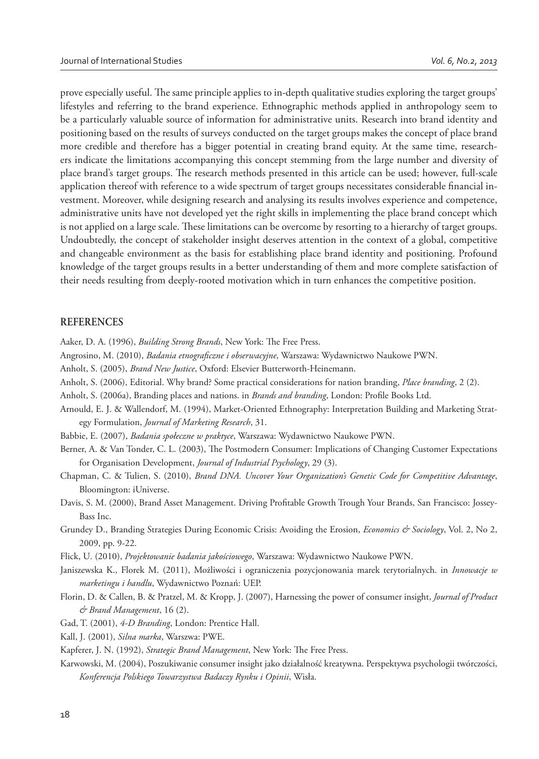prove especially useful. The same principle applies to in-depth qualitative studies exploring the target groups' lifestyles and referring to the brand experience. Ethnographic methods applied in anthropology seem to be a particularly valuable source of information for administrative units. Research into brand identity and positioning based on the results of surveys conducted on the target groups makes the concept of place brand more credible and therefore has a bigger potential in creating brand equity. At the same time, researchers indicate the limitations accompanying this concept stemming from the large number and diversity of place brand's target groups. The research methods presented in this article can be used; however, full-scale application thereof with reference to a wide spectrum of target groups necessitates considerable financial investment. Moreover, while designing research and analysing its results involves experience and competence, administrative units have not developed yet the right skills in implementing the place brand concept which is not applied on a large scale. These limitations can be overcome by resorting to a hierarchy of target groups. Undoubtedly, the concept of stakeholder insight deserves attention in the context of a global, competitive and changeable environment as the basis for establishing place brand identity and positioning. Profound knowledge of the target groups results in a better understanding of them and more complete satisfaction of their needs resulting from deeply-rooted motivation which in turn enhances the competitive position.

#### **REFERENCES**

Aaker, D. A. (1996), *Building Strong Brands*, New York: The Free Press.

- Angrosino, M. (2010), *Badania etnograficzne i obserwacyjne*, Warszawa: Wydawnictwo Naukowe PWN.
- Anholt, S. (2005), *Brand New Justice*, Oxford: Elsevier Butterworth-Heinemann.
- Anholt, S. (2006), Editorial. Why brand? Some practical considerations for nation branding, *Place branding*, 2 (2).
- Anholt, S. (2006a), Branding places and nations. in *Brands and branding*, London: Profile Books Ltd.
- Arnould, E. J. & Wallendorf, M. (1994), Market-Oriented Ethnography: Interpretation Building and Marketing Strategy Formulation, *Journal of Marketing Research*, 31.
- Babbie, E. (2007), *Badania społeczne w praktyce*, Warszawa: Wydawnictwo Naukowe PWN.
- Berner, A. & Van Tonder, C. L. (2003), The Postmodern Consumer: Implications of Changing Customer Expectations for Organisation Development, *Journal of Industrial Psychology*, 29 (3).
- Chapman, C. & Tulien, S. (2010), *Brand DNA. Uncover Your Organization's Genetic Code for Competitive Advantage*, Bloomington: iUniverse.
- Davis, S. M. (2000), Brand Asset Management. Driving Profitable Growth Trough Your Brands, San Francisco: Jossey-Bass Inc.
- Grundey D., Branding Strategies During Economic Crisis: Avoiding the Erosion, *Economics & Sociology*, Vol. 2, No 2, 2009, pp. 9-22.
- Flick, U. (2010), *Projektowanie badania jakościowego*, Warszawa: Wydawnictwo Naukowe PWN.
- Janiszewska K., Florek M. (2011), Możliwości i ograniczenia pozycjonowania marek terytorialnych. in *Innowacje w marketingu i handlu*, Wydawnictwo Poznań: UEP.
- Florin, D. & Callen, B. & Pratzel, M. & Kropp, J. (2007), Harnessing the power of consumer insight, *Journal of Product & Brand Management*, 16 (2).
- Gad, T. (2001), *4-D Branding*, London: Prentice Hall.
- Kall, J. (2001), *Silna marka*, Warszwa: PWE.

Kapferer, J. N. (1992), *Strategic Brand Management*, New York: The Free Press.

Karwowski, M. (2004), Poszukiwanie consumer insight jako działalność kreatywna. Perspektywa psychologii twórczości, *Konferencja Polskiego Towarzystwa Badaczy Rynku i Opinii*, Wisła.